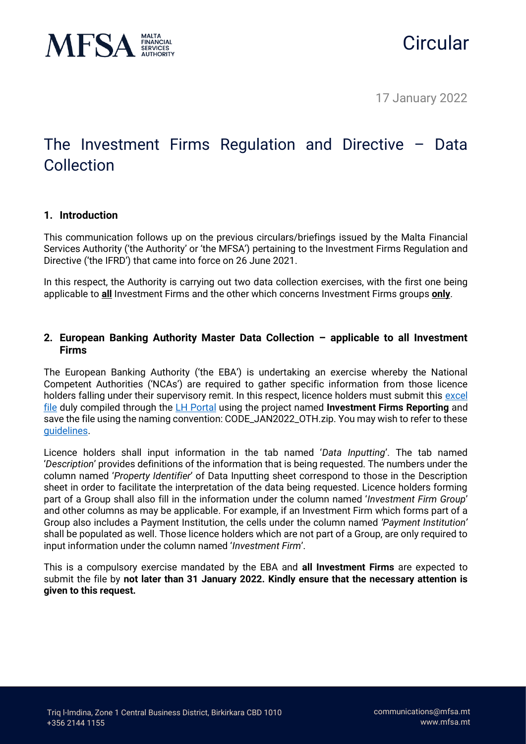

# **Circular**

17 January 2022

## The Investment Firms Regulation and Directive – Data Collection

### **1. Introduction**

This communication follows up on the previous circulars/briefings issued by the Malta Financial Services Authority ('the Authority' or 'the MFSA') pertaining to the Investment Firms Regulation and Directive ('the IFRD') that came into force on 26 June 2021.

In this respect, the Authority is carrying out two data collection exercises, with the first one being applicable to **all** Investment Firms and the other which concerns Investment Firms groups **only**.

### **2. European Banking Authority Master Data Collection – applicable to all Investment Firms**

The European Banking Authority ('the EBA') is undertaking an exercise whereby the National Competent Authorities ('NCAs') are required to gather specific information from those licence holders falling under their supervisory remit. In this respect, licence holders must submit this [excel](https://www.mfsa.mt/wp-content/uploads/2022/01/Master-Data-Collection-Exercise.xlsx)  [file](https://www.mfsa.mt/wp-content/uploads/2022/01/Master-Data-Collection-Exercise.xlsx) duly compiled through the [LH Portal](https://lhportal.mfsa.mt/) using the project named **Investment Firms Reporting** and save the file using the naming convention: CODE\_JAN2022\_OTH.zip. You may wish to refer to these [guidelines.](https://www.mfsa.mt/wp-content/uploads/2021/11/Guidelines-on-Regulatory-Reporting-Requirements-and-the-Submission-of-Financial-Documentation-through-the-LH-Portal.pdf)

Licence holders shall input information in the tab named '*Data Inputting*'. The tab named '*Description*' provides definitions of the information that is being requested. The numbers under the column named '*Property Identifier*' of Data Inputting sheet correspond to those in the Description sheet in order to facilitate the interpretation of the data being requested. Licence holders forming part of a Group shall also fill in the information under the column named '*Investment Firm Group*' and other columns as may be applicable. For example, if an Investment Firm which forms part of a Group also includes a Payment Institution, the cells under the column named *'Payment Institution'* shall be populated as well. Those licence holders which are not part of a Group, are only required to input information under the column named '*Investment Firm*'.

This is a compulsory exercise mandated by the EBA and **all Investment Firms** are expected to submit the file by **not later than 31 January 2022. Kindly ensure that the necessary attention is given to this request.**